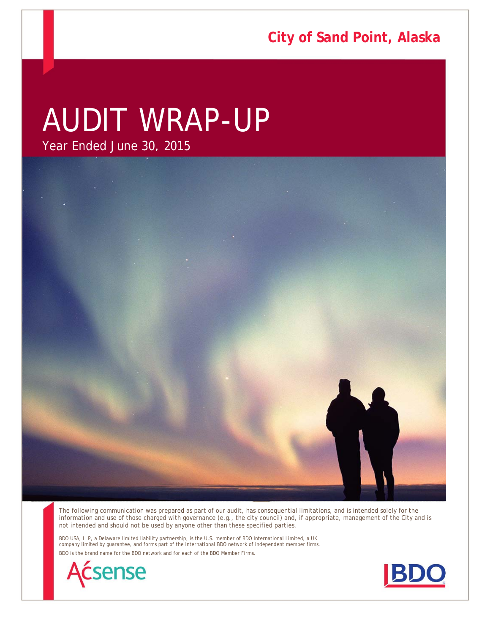**City of Sand Point, Alaska**

# AUDIT WRAP-UP

Year Ended June 30, 2015



The following communication was prepared as part of our audit, has consequential limitations, and is intended solely for the information and use of those charged with governance (e.g., the city council) and, if appropriate, management of the City and is not intended and should not be used by anyone other than these specified parties.

BDO USA, LLP, a Delaware limited liability partnership, is the U.S. member of BDO International Limited, a UK company limited by guarantee, and forms part of the international BDO network of independent member firms. BDO is the brand name for the BDO network and for each of the BDO Member Firms.



Audit Wrap-Up - AUDIT PERIOD END DATE

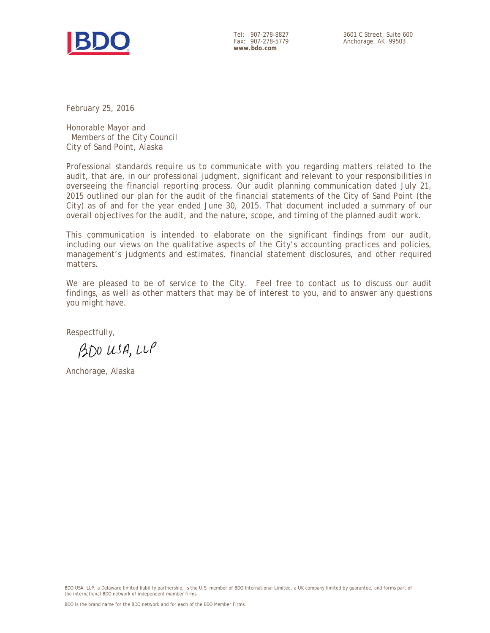

Tel: 907-278-8827 Fax: 907-278-5779 **www.bdo.com** 

February 25, 2016

Honorable Mayor and Members of the City Council City of Sand Point, Alaska

Professional standards require us to communicate with you regarding matters related to the audit, that are, in our professional judgment, significant and relevant to your responsibilities in overseeing the financial reporting process. Our audit planning communication dated July 21, 2015 outlined our plan for the audit of the financial statements of the City of Sand Point (the City) as of and for the year ended June 30, 2015. That document included a summary of our overall objectives for the audit, and the nature, scope, and timing of the planned audit work.

This communication is intended to elaborate on the significant findings from our audit, including our views on the qualitative aspects of the City's accounting practices and policies, management's judgments and estimates, financial statement disclosures, and other required matters.

We are pleased to be of service to the City. Feel free to contact us to discuss our audit findings, as well as other matters that may be of interest to you, and to answer any questions you might have.

Respectfully,

BDO USA, LLP

Anchorage, Alaska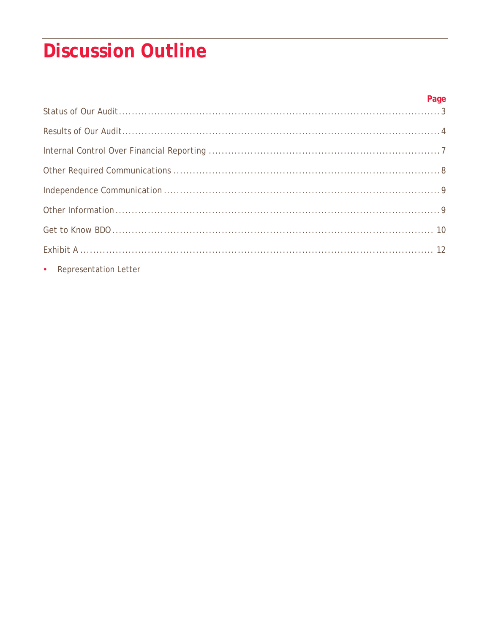# **Discussion Outline**

| c Depresentation Latter |  |
|-------------------------|--|

• Representation Letter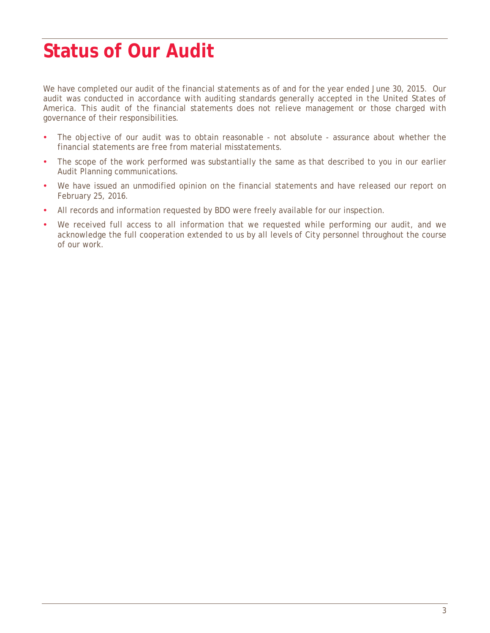### **Status of Our Audit**

We have completed our audit of the financial statements as of and for the year ended June 30, 2015. Our audit was conducted in accordance with auditing standards generally accepted in the United States of America. This audit of the financial statements does not relieve management or those charged with governance of their responsibilities.

- The objective of our audit was to obtain reasonable not absolute assurance about whether the financial statements are free from material misstatements.
- The scope of the work performed was substantially the same as that described to you in our earlier Audit Planning communications.
- We have issued an unmodified opinion on the financial statements and have released our report on February 25, 2016.
- All records and information requested by BDO were freely available for our inspection.
- We received full access to all information that we requested while performing our audit, and we acknowledge the full cooperation extended to us by all levels of City personnel throughout the course of our work.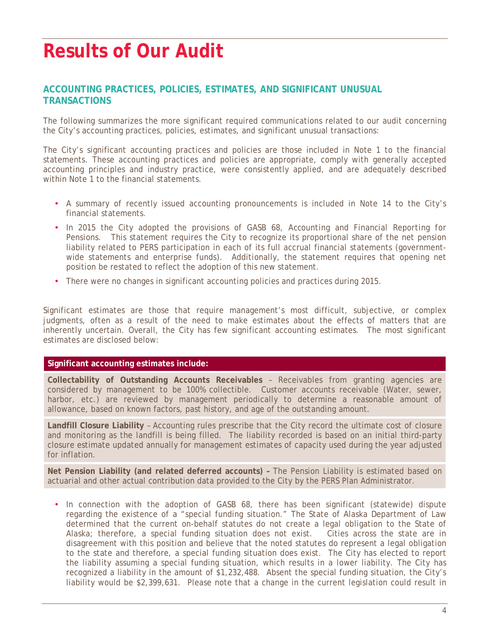### **Results of Our Audit**

#### **ACCOUNTING PRACTICES, POLICIES, ESTIMATES, AND SIGNIFICANT UNUSUAL TRANSACTIONS**

The following summarizes the more significant required communications related to our audit concerning the City's accounting practices, policies, estimates, and significant unusual transactions:

The City's significant accounting practices and policies are those included in Note 1 to the financial statements. These accounting practices and policies are appropriate, comply with generally accepted accounting principles and industry practice, were consistently applied, and are adequately described within Note 1 to the financial statements.

- A summary of recently issued accounting pronouncements is included in Note 14 to the City's financial statements.
- In 2015 the City adopted the provisions of GASB 68, *Accounting and Financial Reporting for Pensions*. This statement requires the City to recognize its proportional share of the net pension liability related to PERS participation in each of its full accrual financial statements (governmentwide statements and enterprise funds). Additionally, the statement requires that opening net position be restated to reflect the adoption of this new statement.
- There were no changes in significant accounting policies and practices during 2015.

Significant estimates are those that require management's most difficult, subjective, or complex judgments, often as a result of the need to make estimates about the effects of matters that are inherently uncertain. Overall, the City has few significant accounting estimates. The most significant estimates are disclosed below:

#### **Significant accounting estimates include:**

**Collectability of Outstanding Accounts Receivables** – Receivables from granting agencies are considered by management to be 100% collectible. Customer accounts receivable (Water, sewer, harbor, etc.) are reviewed by management periodically to determine a reasonable amount of allowance, based on known factors, past history, and age of the outstanding amount.

**Landfill Closure Liability** – Accounting rules prescribe that the City record the ultimate cost of closure and monitoring as the landfill is being filled. The liability recorded is based on an initial third-party closure estimate updated annually for management estimates of capacity used during the year adjusted for inflation.

**Net Pension Liability (and related deferred accounts) –** The Pension Liability is estimated based on actuarial and other actual contribution data provided to the City by the PERS Plan Administrator.

• In connection with the adoption of GASB 68, there has been significant (statewide) dispute regarding the existence of a "special funding situation." The State of Alaska Department of Law determined that the current on-behalf statutes do not create a legal obligation to the State of Alaska; therefore, a special funding situation does not exist. Cities across the state are in disagreement with this position and believe that the noted statutes do represent a legal obligation to the state and therefore, a special funding situation does exist. The City has elected to report the liability assuming a special funding situation, which results in a lower liability. The City has recognized a liability in the amount of \$1,232,488. Absent the special funding situation, the City's liability would be \$2,399,631. Please note that a change in the current legislation could result in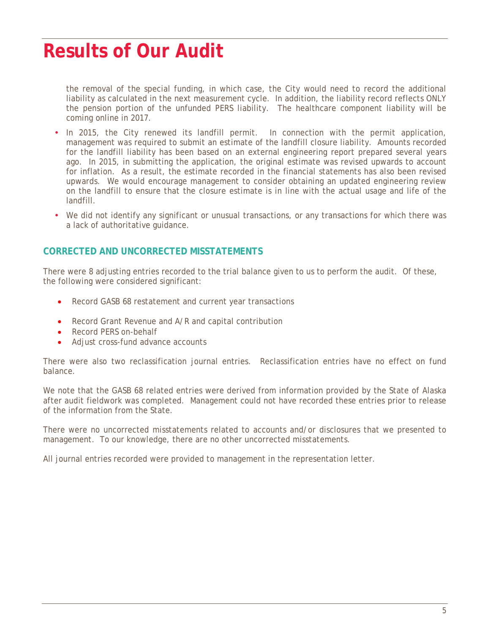### **Results of Our Audit**

the removal of the special funding, in which case, the City would need to record the additional liability as calculated in the next measurement cycle. In addition, the liability record reflects ONLY the pension portion of the unfunded PERS liability. The healthcare component liability will be coming online in 2017.

- In 2015, the City renewed its landfill permit. In connection with the permit application, management was required to submit an estimate of the landfill closure liability. Amounts recorded for the landfill liability has been based on an external engineering report prepared several years ago. In 2015, in submitting the application, the original estimate was revised upwards to account for inflation. As a result, the estimate recorded in the financial statements has also been revised upwards. We would encourage management to consider obtaining an updated engineering review on the landfill to ensure that the closure estimate is in line with the actual usage and life of the landfill.
- We did not identify any significant or unusual transactions, or any transactions for which there was a lack of authoritative guidance.

#### **CORRECTED AND UNCORRECTED MISSTATEMENTS**

There were 8 adjusting entries recorded to the trial balance given to us to perform the audit. Of these, the following were considered significant:

- Record GASB 68 restatement and current year transactions
- Record Grant Revenue and A/R and capital contribution
- Record PERS on-behalf
- Adjust cross-fund advance accounts

There were also two reclassification journal entries. Reclassification entries have no effect on fund balance.

We note that the GASB 68 related entries were derived from information provided by the State of Alaska after audit fieldwork was completed. Management could not have recorded these entries prior to release of the information from the State.

There were no uncorrected misstatements related to accounts and/or disclosures that we presented to management. To our knowledge, there are no other uncorrected misstatements.

All journal entries recorded were provided to management in the representation letter.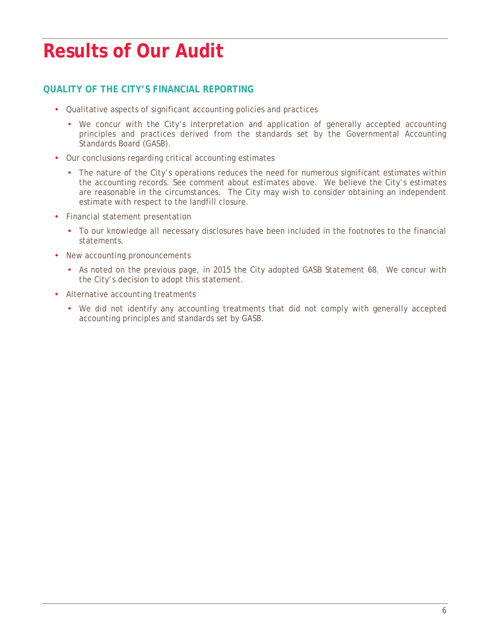### **Results of Our Audit**

#### **QUALITY OF THE CITY'S FINANCIAL REPORTING**

- Qualitative aspects of significant accounting policies and practices
	- We concur with the City's interpretation and application of generally accepted accounting principles and practices derived from the standards set by the Governmental Accounting Standards Board (GASB).
- Our conclusions regarding critical accounting estimates
	- The nature of the City's operations reduces the need for numerous significant estimates within the accounting records. See comment about estimates above. We believe the City's estimates are reasonable in the circumstances. The City may wish to consider obtaining an independent estimate with respect to the landfill closure.
- Financial statement presentation
	- To our knowledge all necessary disclosures have been included in the footnotes to the financial statements.
- New accounting pronouncements
	- As noted on the previous page, in 2015 the City adopted GASB Statement 68. We concur with the City's decision to adopt this statement.
- Alternative accounting treatments
	- We did not identify any accounting treatments that did not comply with generally accepted accounting principles and standards set by GASB.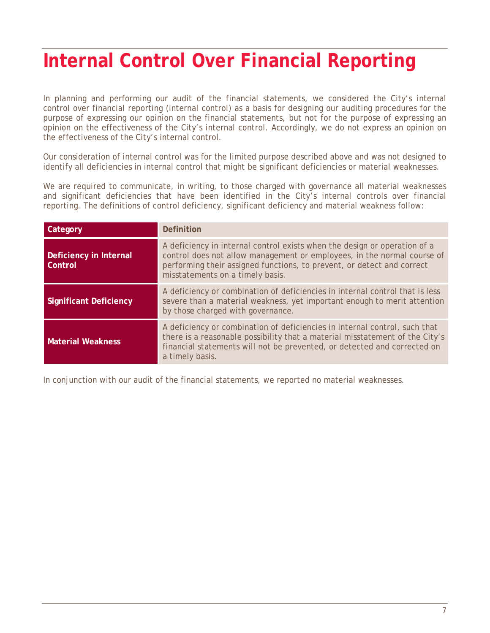### **Internal Control Over Financial Reporting**

In planning and performing our audit of the financial statements, we considered the City's internal control over financial reporting (internal control) as a basis for designing our auditing procedures for the purpose of expressing our opinion on the financial statements, but not for the purpose of expressing an opinion on the effectiveness of the City's internal control. Accordingly, we do not express an opinion on the effectiveness of the City's internal control.

Our consideration of internal control was for the limited purpose described above and was not designed to identify all deficiencies in internal control that might be significant deficiencies or material weaknesses.

We are required to communicate, in writing, to those charged with governance all material weaknesses and significant deficiencies that have been identified in the City's internal controls over financial reporting. The definitions of control deficiency, significant deficiency and material weakness follow:

| Category                          | Definition                                                                                                                                                                                                                                                         |
|-----------------------------------|--------------------------------------------------------------------------------------------------------------------------------------------------------------------------------------------------------------------------------------------------------------------|
| Deficiency in Internal<br>Control | A deficiency in internal control exists when the design or operation of a<br>control does not allow management or employees, in the normal course of<br>performing their assigned functions, to prevent, or detect and correct<br>misstatements on a timely basis. |
| <b>Significant Deficiency</b>     | A deficiency or combination of deficiencies in internal control that is less<br>severe than a material weakness, yet important enough to merit attention<br>by those charged with governance.                                                                      |
| <b>Material Weakness</b>          | A deficiency or combination of deficiencies in internal control, such that<br>there is a reasonable possibility that a material misstatement of the City's<br>financial statements will not be prevented, or detected and corrected on<br>a timely basis.          |

In conjunction with our audit of the financial statements, we reported no material weaknesses.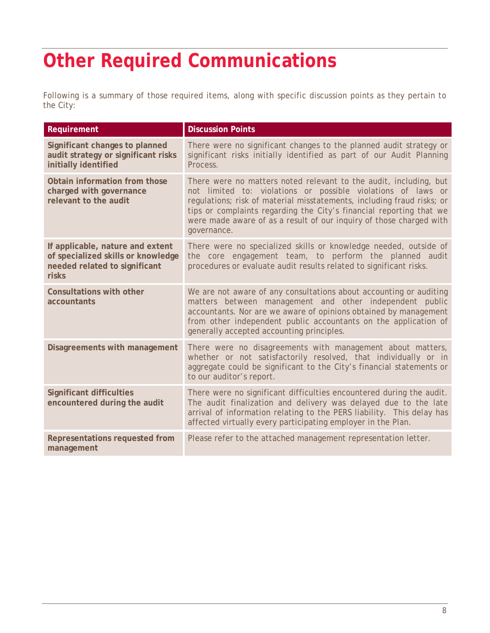# **Other Required Communications**

Following is a summary of those required items, along with specific discussion points as they pertain to the City:

| Requirement                                                                                                      | <b>Discussion Points</b>                                                                                                                                                                                                                                                                                                                                                 |
|------------------------------------------------------------------------------------------------------------------|--------------------------------------------------------------------------------------------------------------------------------------------------------------------------------------------------------------------------------------------------------------------------------------------------------------------------------------------------------------------------|
| Significant changes to planned<br>audit strategy or significant risks<br>initially identified                    | There were no significant changes to the planned audit strategy or<br>significant risks initially identified as part of our Audit Planning<br>Process.                                                                                                                                                                                                                   |
| Obtain information from those<br>charged with governance<br>relevant to the audit                                | There were no matters noted relevant to the audit, including, but<br>not limited to: violations or possible violations of laws or<br>regulations; risk of material misstatements, including fraud risks; or<br>tips or complaints regarding the City's financial reporting that we<br>were made aware of as a result of our inquiry of those charged with<br>governance. |
| If applicable, nature and extent<br>of specialized skills or knowledge<br>needed related to significant<br>risks | There were no specialized skills or knowledge needed, outside of<br>the core engagement team, to perform the planned audit<br>procedures or evaluate audit results related to significant risks.                                                                                                                                                                         |
| <b>Consultations with other</b><br>accountants                                                                   | We are not aware of any consultations about accounting or auditing<br>matters between management and other independent public<br>accountants. Nor are we aware of opinions obtained by management<br>from other independent public accountants on the application of<br>generally accepted accounting principles.                                                        |
| Disagreements with management                                                                                    | There were no disagreements with management about matters,<br>whether or not satisfactorily resolved, that individually or in<br>aggregate could be significant to the City's financial statements or<br>to our auditor's report.                                                                                                                                        |
| <b>Significant difficulties</b><br>encountered during the audit                                                  | There were no significant difficulties encountered during the audit.<br>The audit finalization and delivery was delayed due to the late<br>arrival of information relating to the PERS liability. This delay has<br>affected virtually every participating employer in the Plan.                                                                                         |
| Representations requested from<br>management                                                                     | Please refer to the attached management representation letter.                                                                                                                                                                                                                                                                                                           |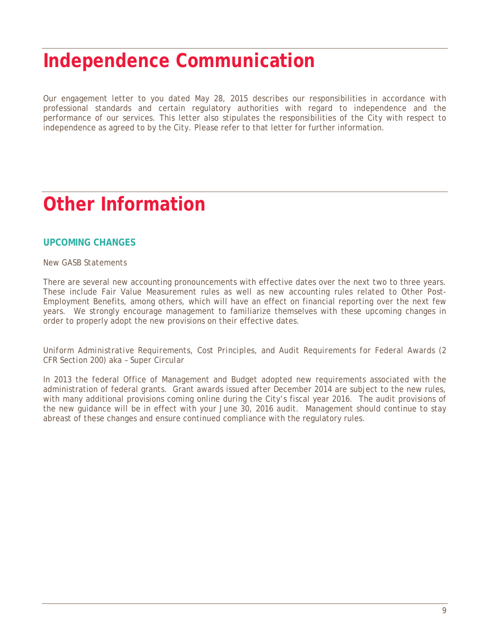### **Independence Communication**

Our engagement letter to you dated May 28, 2015 describes our responsibilities in accordance with professional standards and certain regulatory authorities with regard to independence and the performance of our services. This letter also stipulates the responsibilities of the City with respect to independence as agreed to by the City. Please refer to that letter for further information.

### **Other Information**

#### **UPCOMING CHANGES**

#### *New GASB Statements*

There are several new accounting pronouncements with effective dates over the next two to three years. These include Fair Value Measurement rules as well as new accounting rules related to Other Post-Employment Benefits, among others, which will have an effect on financial reporting over the next few years. We strongly encourage management to familiarize themselves with these upcoming changes in order to properly adopt the new provisions on their effective dates.

*Uniform Administrative Requirements, Cost Principles, and Audit Requirements for Federal Awards (2 CFR Section 200) aka – Super Circular* 

In 2013 the federal Office of Management and Budget adopted new requirements associated with the administration of federal grants. Grant awards issued after December 2014 are subject to the new rules, with many additional provisions coming online during the City's fiscal year 2016. The audit provisions of the new guidance will be in effect with your June 30, 2016 audit. Management should continue to stay abreast of these changes and ensure continued compliance with the regulatory rules.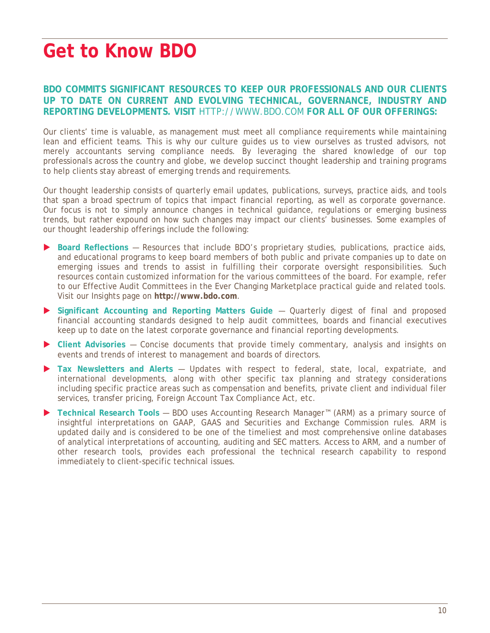### **Get to Know BDO**

#### **BDO COMMITS SIGNIFICANT RESOURCES TO KEEP OUR PROFESSIONALS AND OUR CLIENTS UP TO DATE ON CURRENT AND EVOLVING TECHNICAL, GOVERNANCE, INDUSTRY AND REPORTING DEVELOPMENTS. VISIT** HTTP://WWW.BDO.COM **FOR ALL OF OUR OFFERINGS:**

Our clients' time is valuable, as management must meet all compliance requirements while maintaining lean and efficient teams. This is why our culture guides us to view ourselves as trusted advisors, not merely accountants serving compliance needs. By leveraging the shared knowledge of our top professionals across the country and globe, we develop succinct thought leadership and training programs to help clients stay abreast of emerging trends and requirements.

Our thought leadership consists of quarterly email updates, publications, surveys, practice aids, and tools that span a broad spectrum of topics that impact financial reporting, as well as corporate governance. Our focus is not to simply announce changes in technical guidance, regulations or emerging business trends, but rather expound on how such changes may impact our clients' businesses. Some examples of our thought leadership offerings include the following:

- **Board Reflections** Resources that include BDO's proprietary studies, publications, practice aids, and educational programs to keep board members of both public and private companies up to date on emerging issues and trends to assist in fulfilling their corporate oversight responsibilities. Such resources contain customized information for the various committees of the board. For example, refer to our Effective Audit Committees in the Ever Changing Marketplace practical guide and related tools. Visit our Insights page on **http://www.bdo.com**.
- **Significant Accounting and Reporting Matters Guide** Quarterly digest of final and proposed financial accounting standards designed to help audit committees, boards and financial executives keep up to date on the latest corporate governance and financial reporting developments.
- **Client Advisories** Concise documents that provide timely commentary, analysis and insights on events and trends of interest to management and boards of directors.
- **Tax Newsletters and Alerts**  Updates with respect to federal, state, local, expatriate, and international developments, along with other specific tax planning and strategy considerations including specific practice areas such as compensation and benefits, private client and individual filer services, transfer pricing, Foreign Account Tax Compliance Act, etc.
- **Technical Research Tools** BDO uses Accounting Research Manager™ (ARM) as a primary source of insightful interpretations on GAAP, GAAS and Securities and Exchange Commission rules. ARM is updated daily and is considered to be one of the timeliest and most comprehensive online databases of analytical interpretations of accounting, auditing and SEC matters. Access to ARM, and a number of other research tools, provides each professional the technical research capability to respond immediately to client-specific technical issues.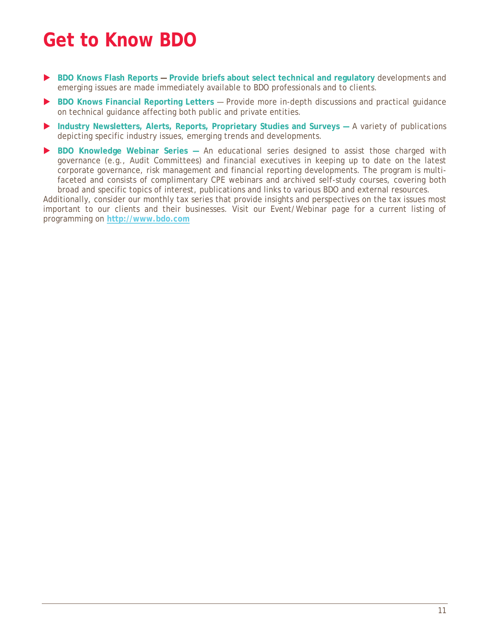## **Get to Know BDO**

- **BDO Knows Flash Reports Provide briefs about select technical and regulatory** developments and emerging issues are made immediately available to BDO professionals and to clients.
- **BDO Knows Financial Reporting Letters** Provide more in-depth discussions and practical guidance on technical guidance affecting both public and private entities.
- **Industry Newsletters, Alerts, Reports, Proprietary Studies and Surveys A variety of publications** depicting specific industry issues, emerging trends and developments.
- **BDO Knowledge Webinar Series** An educational series designed to assist those charged with governance (e.g., Audit Committees) and financial executives in keeping up to date on the latest corporate governance, risk management and financial reporting developments. The program is multifaceted and consists of complimentary CPE webinars and archived self-study courses, covering both broad and specific topics of interest, publications and links to various BDO and external resources.

Additionally, consider our monthly tax series that provide insights and perspectives on the tax issues most important to our clients and their businesses. Visit our Event/Webinar page for a current listing of programming on **http://www.bdo.com**